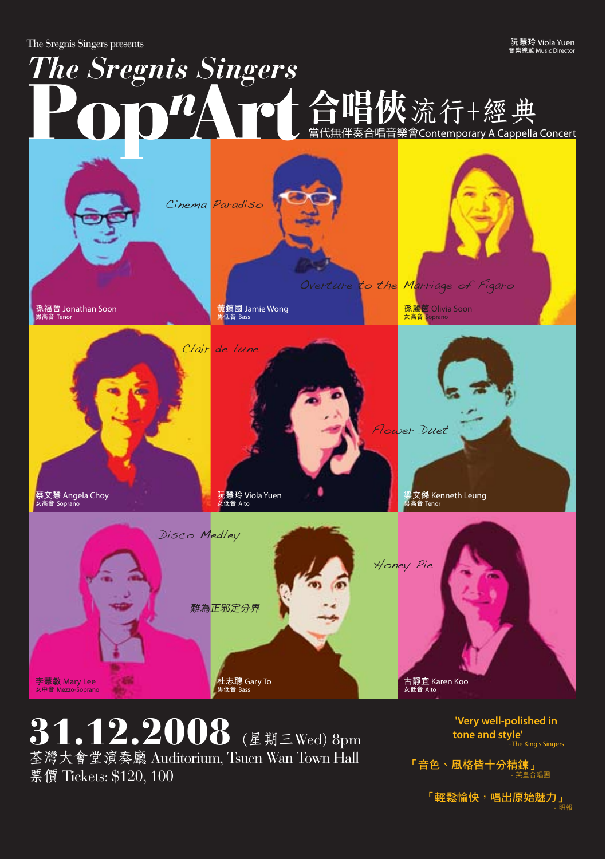The Sregnis Singers presents

**阮慧玲** Viola Yuen **音樂總監** Music Director

## 合唱音樂會Contemporary A Cappella Concert *The Sregnis Singers* Pop<sup>n</sup>Art台唱俠流行+經典

**孫福晉** Jonathan Soon **男高音** Tenor

**蔡文慧** Angela Choy **女高音** Soprano

Clair de lune

**黃鎮國** Jamie Wong **男低音** Bass

Cinema Paradiso

**阮慧玲** Viola Yuen **女低音** Alto



31.12.2008 (星期三Wed) 8pm 荃灣大會堂演奏廳 Auditorium, Tsuen Wan Town Hall 票價 Tickets: \$120, 100

 **'Very well-polished in tone and style'** - The King's Singers

「音色、風格皆十分精鍊」<br>- <sup>英皇合唱團</sup>

**孫麗茵** Olivia Soon **女高音** Soprano

to the Marriage of Figaro

Flower Duet

**梁文傑** Kenneth Leung **男高音** Tenor

「輕鬆愉快,唱出原始魅力」- 明報